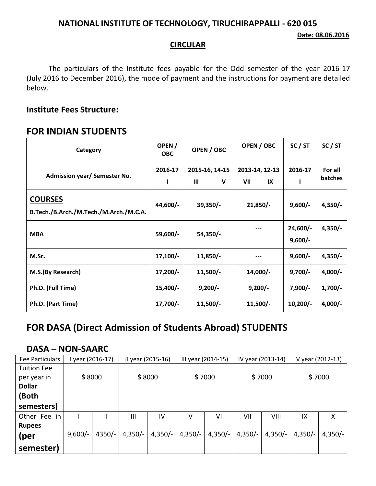### **NATIONAL INSTITUTE OF TECHNOLOGY, TIRUCHIRAPPALLI - 620 015**

#### **CIRCULAR**

The particulars of the Institute fees payable for the Odd semester of the year 2016-17 (July 2016 to December 2016), the mode of payment and the instructions for payment are detailed below.

#### **Institute Fees Structure:**

### **FOR INDIAN STUDENTS**

| Category                                                 | OPEN /<br><b>OBC</b> | OPEN / OBC                                     | OPEN / OBC                  | SC / ST                 | SC / ST            |
|----------------------------------------------------------|----------------------|------------------------------------------------|-----------------------------|-------------------------|--------------------|
| Admission year/ Semester No.                             | 2016-17              | 2015-16, 14-15<br>$\mathbf{m}$<br>$\mathsf{V}$ | 2013-14, 12-13<br>VII<br>IX | 2016-17                 | For all<br>batches |
| <b>COURSES</b><br>B.Tech./B.Arch./M.Tech./M.Arch./M.C.A. | 44,600/-             | $39,350/-$                                     | $21,850/-$                  | $9,600/-$               | $4,350/-$          |
| <b>MBA</b>                                               | 59,600/-             | 54,350/-                                       |                             | $24,600/-$<br>$9,600/-$ | $4,350/-$          |
| M.Sc.                                                    | $17,100/-$           | $11,850/-$                                     |                             | $9,600/-$               | $4,350/-$          |
| M.S.(By Research)                                        | $17,200/-$           | $11,500/-$                                     | 14,000/-                    | $9,700/-$               | $4,000/-$          |
| Ph.D. (Full Time)                                        | $15,400/-$           | $9,200/-$                                      | $9,200/-$                   | $7,900/-$               | $1,700/-$          |
| Ph.D. (Part Time)                                        | $17,700/-$           | $11,500/-$                                     | $11,500/-$                  | $10,200/-$              | $4,000/-$          |

# **FOR DASA (Direct Admission of Students Abroad) STUDENTS**

## **DASA – NON-SAARC**

| Fee Particulars    | year (2016-17) |          | II year (2015-16) |           | III year (2014-15) |           | IV year (2013-14) |           | V year (2012-13) |           |
|--------------------|----------------|----------|-------------------|-----------|--------------------|-----------|-------------------|-----------|------------------|-----------|
| <b>Tuition Fee</b> |                |          |                   |           |                    |           |                   |           |                  |           |
| per year in        | \$8000         |          | \$8000            |           | \$7000             |           | \$7000            |           | \$7000           |           |
| <b>Dollar</b>      |                |          |                   |           |                    |           |                   |           |                  |           |
| (Both              |                |          |                   |           |                    |           |                   |           |                  |           |
| semesters)         |                |          |                   |           |                    |           |                   |           |                  |           |
| Other Fee<br>in    |                | Ш        | Ш                 | IV        | v                  | ٧I        | VII               | VIII      | IX               | X         |
| <b>Rupees</b>      |                |          |                   |           |                    |           |                   |           |                  |           |
| (per               | $9,600/-$      | $4350/-$ | $4,350/-$         | $4,350/-$ | $4,350/-$          | $4,350/-$ | $4,350/-$         | $4,350/-$ | $4,350/-$        | $4,350/-$ |
| semester)          |                |          |                   |           |                    |           |                   |           |                  |           |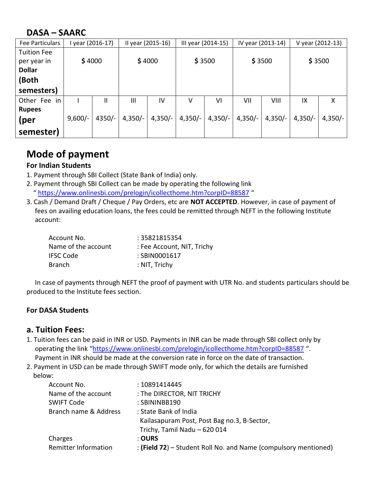# **DASA – SAARC**

| Fee Particulars    | year (2016-17) |          | II year (2015-16) |           | III year (2014-15) |           | IV year (2013-14) |           | V year (2012-13) |           |
|--------------------|----------------|----------|-------------------|-----------|--------------------|-----------|-------------------|-----------|------------------|-----------|
| <b>Tuition Fee</b> |                |          |                   |           |                    |           |                   |           |                  |           |
| per year in        | \$4000         |          | \$4000            |           | \$3500             |           | \$3500            |           | \$3500           |           |
| <b>Dollar</b>      |                |          |                   |           |                    |           |                   |           |                  |           |
| (Both              |                |          |                   |           |                    |           |                   |           |                  |           |
| semesters)         |                |          |                   |           |                    |           |                   |           |                  |           |
| in<br>Other Fee    |                | Ш        | Ш                 | IV        | v                  | VI        | VII               | VIII      | IX               | X         |
| <b>Rupees</b>      |                |          |                   |           |                    |           |                   |           |                  |           |
| (per               | $9,600/-$      | $4350/-$ | $4,350/-$         | $4,350/-$ | $4,350/-$          | $4,350/-$ | $4,350/-$         | $4,350/-$ | $4,350/-$        | $4,350/-$ |
| semester)          |                |          |                   |           |                    |           |                   |           |                  |           |

# **Mode of payment**

### **For Indian Students**

- 1. Payment through SBI Collect (State Bank of India) only.
- 2. Payment through SBI Collect can be made by operating the following link " <https://www.onlinesbi.com/prelogin/icollecthome.htm?corpID=88587> "
- 3. Cash / Demand Draft / Cheque / Pay Orders, etc are **NOT ACCEPTED**. However, in case of payment of fees on availing education loans, the fees could be remitted through NEFT in the following Institute account:

| Account No.         | : 35821815354              |
|---------------------|----------------------------|
| Name of the account | : Fee Account, NIT, Trichy |
| IFSC Code           | : SBIN0001617              |
| <b>Branch</b>       | : NIT, Trichy              |

 In case of payments through NEFT the proof of payment with UTR No. and students particulars should be produced to the Institute fees section.

### **For DASA Students**

### **a. Tuition Fees:**

- 1. Tuition fees can be paid in INR or USD. Payments in INR can be made through SBI collect only by operating the link "<https://www.onlinesbi.com/prelogin/icollecthome.htm?corpID=88587> ". Payment in INR should be made at the conversion rate in force on the date of transaction.
- 2. Payment in USD can be made through SWIFT mode only, for which the details are furnished below:

| Account No.                 | : 10891414445                                                   |
|-----------------------------|-----------------------------------------------------------------|
| Name of the account         | : The DIRECTOR, NIT TRICHY                                      |
| <b>SWIFT Code</b>           | : SBININBB190                                                   |
| Branch name & Address       | : State Bank of India                                           |
|                             | Kailasapuram Post, Post Bag no.3, B-Sector,                     |
|                             | Trichy, Tamil Nadu - 620 014                                    |
| Charges                     | : OURS                                                          |
| <b>Remitter Information</b> | : (Field 72) – Student Roll No. and Name (compulsory mentioned) |
|                             |                                                                 |